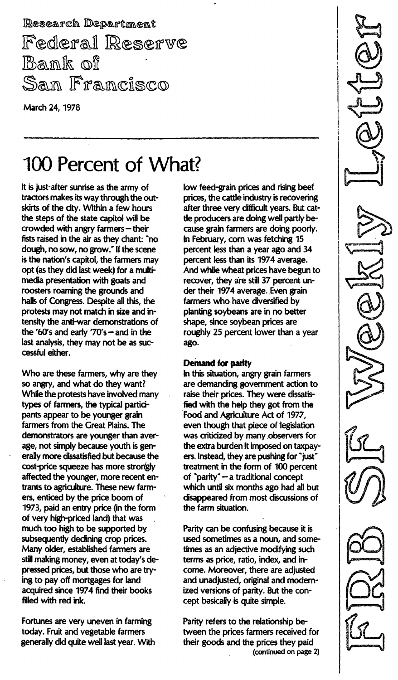Research Department Federal Reserve Bank of Sam Framcisco

March 24, 1978

# 100 Percent of What?

It is just-after sunrise as the army of tractors makes its way through the outskirts of the city. Within a few hours the steps of the state capitol will be  $c$ rowded with angry farmers  $-$  their fists raised in the air as they chant: "no dough, no sow, no grow." If the scene is the nation's capitol, the farmers may opt (as they did last week) for a multimedia presentation with goats and roosters roaming the grounds and halls of Congress. Despite all this, the protests may not match in size and intensity the anti-war demonstrations of the '60's and early '70's  $-$  and in the last analysis, they may not be as successful either.

Who are these farmers, why are they so angry, and what do they want? While the protests have involved many types of farmers, the typical participants appear to be younger grain farmers from the Great Plains. The demonstrators are younger than average, not simply because youth is generally more dissatisfied but because the cost-price squeeze has more strongly affected the younger, more recent entrants to agriculture. These new farmers, enticed by the price boom of 1973, paid an entry price (in the form of very high-priced land) that was much too high to be supported by subsequently declining crop prices. Many older, established farmers are still making money, even at today's depressed prices, but those who are trying to payoff mortgages for land acquired since 1974 find their books filled with red ink.

Fortunes are very uneven in farming today. Fruit and vegetable farmers generally did quite well last year. With low feed-grain prices and rising beef prices, the cattle industry is recovering after three very difficult years. But cattle producers are doing well partly because grain farmers are doing poorly. In February, corn was fetching 15 percent less than a year ago and 34 percent less than its 1974 average. And while wheat prices have begun to recover, they are still 37 percent under their 1974 average. Even grain farmers who have diversified by planting soybeans are in no better shape, since soybean prices are roughly 25 percent lower than a year ago.

#### Demand for parity

In this situation, angry grain farmers are demanding government action to raise their prices. They were dissatisfied with the help they got from the Food and Agriculture Act of 1977, even though that piece of legislation was criticized by many observers for the extra burden it imposed on taxpayers. Instead, they are pushing for "just" treatment in the form of 100 percent of "parity" - a traditional concept which until six months ago had all but disappeared from most discussions of the farm situation.

Parity can be confusing because it is used sometimes as a noun, and sometimes as an adjective modifying such terms as price, ratio, index, and income. Moreover, there are adjusted and unadjusted, original and modernized versions of parity. But the concept basically is quite simple.

Parity refers to the relationship between the prices farmers received for their goods and the prices they paid (continued on page 2)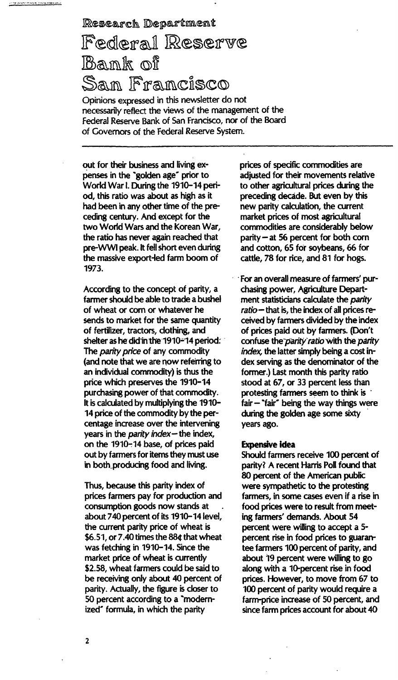# Research Department Federal Reserve Bank of San Francisco

Opinions expressed in this newsletter do not necessarily reflect the views of the management of the Federal Reserve Bank of San Francisco, nor of the Board of Governors of the federal Reserve System.

out for their business and living expenses in the 'golden age' prior to World War I. During the 1910-14 period, this ratio was about as high as it had been in any other time of the preceding century. And except for the two World Wars and the Korean War, the ratio has never again reached that pre-WWI peak. It fell short even during the massive export-led farm boom of 1973.

According to the concept of parity, a farmer should be able to trade a bushel of wheat or corn or whatever he sends to market for the same quantity of fertilizer, tractors, clothing, and shelter as he did in the 1910 $-$ 14 period: The *parity price* of any commodity (and note that we are now referring to an individual commodity) is thus the price which preserves the 1910-14 purchasing power of that commodity. It is calculated by multiplying the 1910-14 price of the commodity by the percentage increase over the intervening years in the *parity index* - the index, on the 1910-14 base, of prices paid out by farmers for items they must use in both producing food and living.

Thus, because this parity index of prices farmers pay for production and consumption goods now stands at about 740 percent of its 1910-14 level, the current parity price of wheat is \$6.51, or 7.40 times the 88¢ that wheat was fetching in 1910-14. Since the market price of wheat is currently \$2.58, wheat farmers could be said to be receiving only about 40 percent of parity. Actually, the figure is closer to 50 percent according to a 'modernized" formula, in which the parity

prices of specific commodities are adjusted for their movements relative to other agricultural prices during the preceding decade. But even by this new parity calculation, the current market prices of most agricultural commodities are considerably below parity  $-$  at 56 percent for both corn and cotton, 65 for soybeans, 66 for cattle, 78 for rice, and 81 for hogs.

For an overall measure of farmers' purchasing power, Agriculture Department statisticians calculate the parity  $ratio$  – that is, the index of all prices received by farmers divided by the index of prices paid out by farmers. (Don't confuse the parity ratio with the parity index, the latter simply being a cost index serving as the denominator of the former.) Last month this parity ratio stood at 67, or 33 percent less than protesting farmers seem to think is .  $fair - "fair"$  being the way things were during the golden age some sixty years ago.

#### Expensive idea

Should farmers receive 100 percent of parity? A recent Harris Poll found that 80 percent of the American public were sympathetic to the protesting farmers, in some cases even if a rise in food prices were to result from meeting farmers' demands. About 54 percent were willing to accept a 5 percent rise in food prices to guarantee farmers 100 percent of parity, and about 19 percent were willing to go along with a 10-percent rise in food prices. However, to move from 67 to 100 percent of parity would require a farm-price increase of 50 percent, and since farm prices account for about 40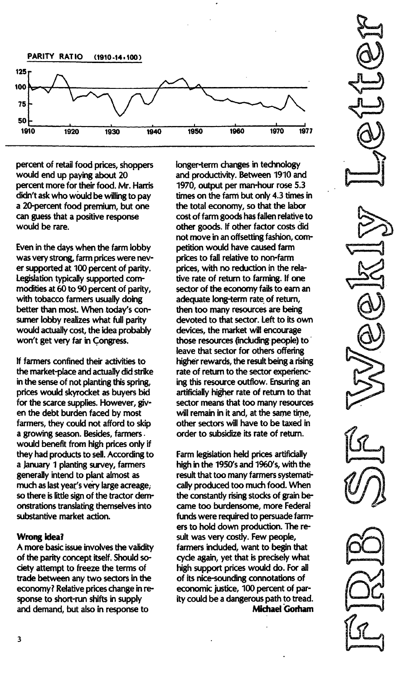

percent of retail food prices, shoppers would end up paying about 20 percent more for their food. Mr. Harris didn't ask who would be willing to pay a 20-percent food premium, but one can guess that a positive response would be rare.

Even in the days when the farm lobby was very strong, farm prices were never supported at 100 percent of parity. Legislation typically supported commodities at 60 to 90 percent of parity, with tobacco farmers usually doing better than most. When today's consumer lobby realizes what full parity would actually cost, the idea probably won't get very far in Congress.

If farmers confined their activities to the market-place and actually did strike in the sense of not planting this spring, prices would skyrocket as buyers bid for the scarce supplies. However, given the debt burden faced by most farmers, they could not afford to skip a growing season. Besides, farmers. would benefit from high prices only if they had products to sell. According to a January 1 planting survey, farmers generally intend to plant almost as much as last year's very large acreage, so there is little sign of the tractor demonstrations translating themselves into substantive market action.

## Wrong idea?

A more basic issue involves the validity of the parity concept itself. Should society attempt to freeze the terms of trade between any two sectors in the economy? Relative prices change in response to short-run shifts in supply and demand, but also in response to

longer-term changes in technology and productivity. Between 1910 and 1970, output per man-hour rose 5.3 times on the farm but only 4.3 times in the total economy, so that the labor cost of farm goods has fallen relative to other goods. If other factor costs did not move in an offsetting fashion, competition would have caused farm prices to fall relative to non-farm prices, with no reduction in the relative rate of return to farming. If one sector of the economy fails to earn an adequate long-term rate of return, then too many resources are being devoted to that sector. Left to its own devices, the market will encourage those resources (including-people) to leave that sector for others offering higher rewards, the result being a rising rate of return to the sector experiencing this resource outflow. Ensuring an artificially higher rate of return to that sector means that too many resources will remain in it and, at the same time, other sectors will have to be taxed in order to subsidize its rate of return.

Farm legislation held prices artificially high in the 1950's and 1960's, with the result that too many farmers systematically produced too much food. When the constantly rising stocks of grain became too burdensome, more Federal funds were required to persuade farmers to hold down production. The result was very costly. Few people, farmers included, want to begin that cycle again, yet that is precisely what high support prices would do. For all of its nice-sounding connotations of economic justice, 100 percent of parity could be a dangerous path to tread. **Michael Gorham**